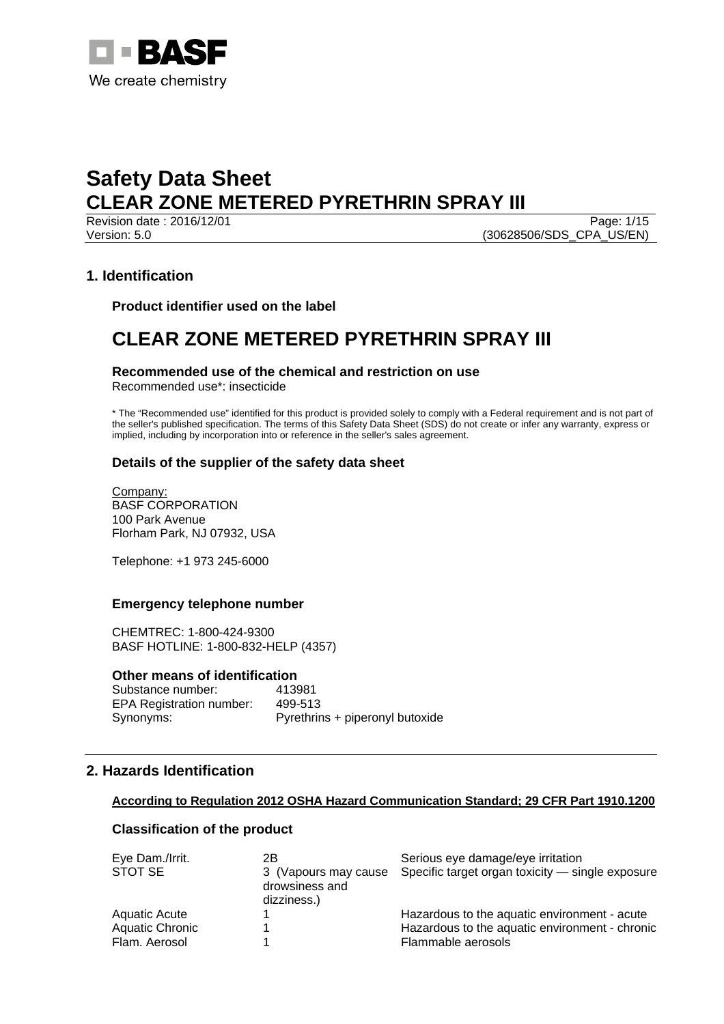

Revision date : 2016/12/01 Version: 5.0 (30628506/SDS\_CPA\_US/EN)

# **1. Identification**

**Product identifier used on the label** 

# **CLEAR ZONE METERED PYRETHRIN SPRAY III**

# **Recommended use of the chemical and restriction on use**

Recommended use\*: insecticide

\* The "Recommended use" identified for this product is provided solely to comply with a Federal requirement and is not part of the seller's published specification. The terms of this Safety Data Sheet (SDS) do not create or infer any warranty, express or implied, including by incorporation into or reference in the seller's sales agreement.

# **Details of the supplier of the safety data sheet**

Company: BASF CORPORATION 100 Park Avenue Florham Park, NJ 07932, USA

Telephone: +1 973 245-6000

#### **Emergency telephone number**

CHEMTREC: 1-800-424-9300 BASF HOTLINE: 1-800-832-HELP (4357)

#### **Other means of identification**

Substance number: 413981 EPA Registration number: 499-513 Synonyms: Pyrethrins + piperonyl butoxide

# **2. Hazards Identification**

#### **According to Regulation 2012 OSHA Hazard Communication Standard; 29 CFR Part 1910.1200**

# **Classification of the product**

| Eye Dam./Irrit. | 2Β                                                    | Serious eye damage/eye irritation                |
|-----------------|-------------------------------------------------------|--------------------------------------------------|
| STOT SE         | 3 (Vapours may cause<br>drowsiness and<br>dizziness.) | Specific target organ toxicity – single exposure |
| Aquatic Acute   |                                                       | Hazardous to the aquatic environment - acute     |
| Aquatic Chronic |                                                       | Hazardous to the aquatic environment - chronic   |
| Flam. Aerosol   |                                                       | Flammable aerosols                               |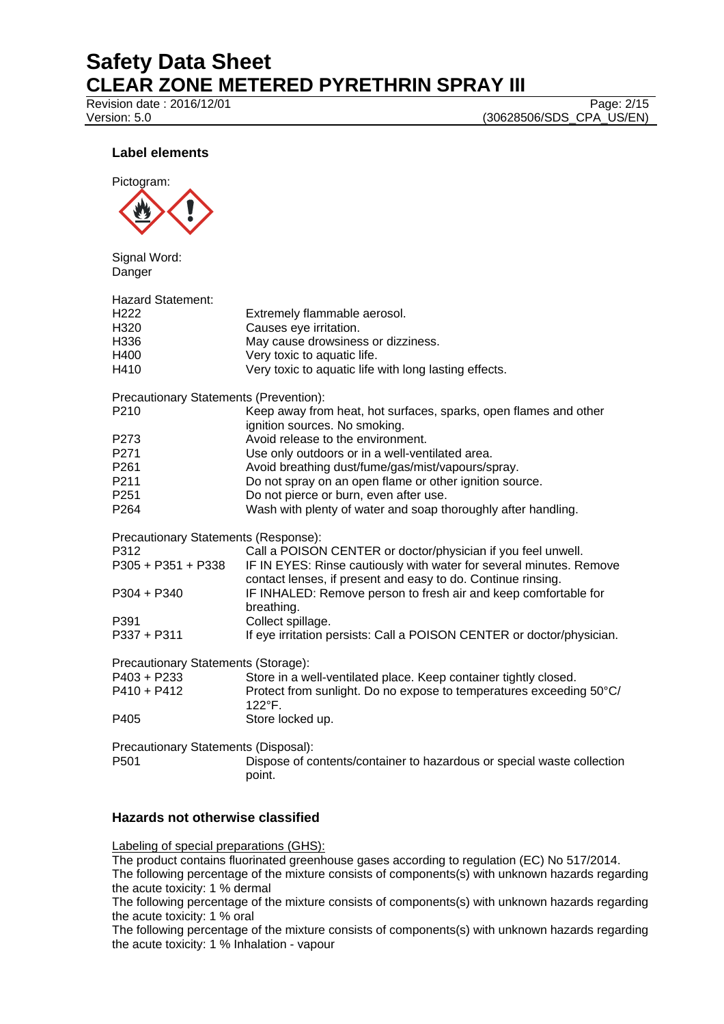Revision date : 2016/12/01 Page: 2/15

Version: 5.0 (30628506/SDS\_CPA\_US/EN)

# **Label elements**



Signal Word: Danger

| <b>Hazard Statement:</b>               |                                                                                                                                     |
|----------------------------------------|-------------------------------------------------------------------------------------------------------------------------------------|
| H <sub>222</sub>                       | Extremely flammable aerosol.                                                                                                        |
| H320                                   | Causes eye irritation.                                                                                                              |
| H336                                   | May cause drowsiness or dizziness.                                                                                                  |
| H400                                   | Very toxic to aquatic life.                                                                                                         |
| H410                                   | Very toxic to aquatic life with long lasting effects.                                                                               |
| Precautionary Statements (Prevention): |                                                                                                                                     |
| P210                                   | Keep away from heat, hot surfaces, sparks, open flames and other<br>ignition sources. No smoking.                                   |
| P273                                   | Avoid release to the environment.                                                                                                   |
| P271                                   | Use only outdoors or in a well-ventilated area.                                                                                     |
| P261                                   | Avoid breathing dust/fume/gas/mist/vapours/spray.                                                                                   |
| P211                                   | Do not spray on an open flame or other ignition source.                                                                             |
| P <sub>251</sub>                       | Do not pierce or burn, even after use.                                                                                              |
| P <sub>264</sub>                       | Wash with plenty of water and soap thoroughly after handling.                                                                       |
| Precautionary Statements (Response):   |                                                                                                                                     |
| P312                                   | Call a POISON CENTER or doctor/physician if you feel unwell.                                                                        |
| P305 + P351 + P338                     | IF IN EYES: Rinse cautiously with water for several minutes. Remove<br>contact lenses, if present and easy to do. Continue rinsing. |
| P304 + P340                            | IF INHALED: Remove person to fresh air and keep comfortable for<br>breathing.                                                       |
| P391                                   | Collect spillage.                                                                                                                   |
| P337 + P311                            | If eye irritation persists: Call a POISON CENTER or doctor/physician.                                                               |
| Precautionary Statements (Storage):    |                                                                                                                                     |
| P403 + P233                            | Store in a well-ventilated place. Keep container tightly closed.                                                                    |
| P410 + P412                            | Protect from sunlight. Do no expose to temperatures exceeding 50°C/<br>122°F.                                                       |
| P405                                   | Store locked up.                                                                                                                    |
| Precautionary Statements (Disposal):   |                                                                                                                                     |
| P <sub>501</sub>                       | Dispose of contents/container to hazardous or special waste collection<br>point.                                                    |
|                                        |                                                                                                                                     |

# **Hazards not otherwise classified**

Labeling of special preparations (GHS):

The product contains fluorinated greenhouse gases according to regulation (EC) No 517/2014.

The following percentage of the mixture consists of components(s) with unknown hazards regarding the acute toxicity: 1 % dermal

The following percentage of the mixture consists of components(s) with unknown hazards regarding the acute toxicity: 1 % oral

The following percentage of the mixture consists of components(s) with unknown hazards regarding the acute toxicity: 1 % Inhalation - vapour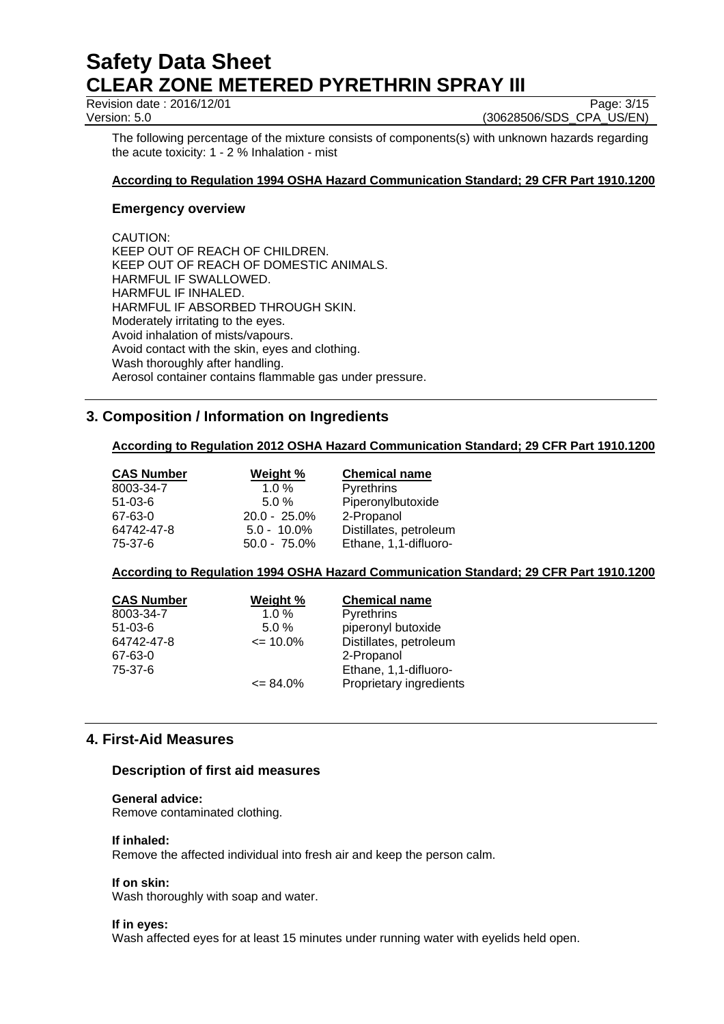Revision date : 2016/12/01

Version: 5.0 (30628506/SDS\_CPA\_US/EN)

The following percentage of the mixture consists of components(s) with unknown hazards regarding the acute toxicity: 1 - 2 % Inhalation - mist

### **According to Regulation 1994 OSHA Hazard Communication Standard; 29 CFR Part 1910.1200**

#### **Emergency overview**

CAUTION: KEEP OUT OF REACH OF CHILDREN. KEEP OUT OF REACH OF DOMESTIC ANIMALS. HARMFUL IF SWALLOWED. HARMFUL IF INHALED. HARMFUL IF ABSORBED THROUGH SKIN. Moderately irritating to the eyes. Avoid inhalation of mists/vapours. Avoid contact with the skin, eyes and clothing. Wash thoroughly after handling. Aerosol container contains flammable gas under pressure.

# **3. Composition / Information on Ingredients**

# **According to Regulation 2012 OSHA Hazard Communication Standard; 29 CFR Part 1910.1200**

| <b>CAS Number</b> | Weight %        | <b>Chemical name</b>   |
|-------------------|-----------------|------------------------|
| 8003-34-7         | $1.0 \%$        | Pyrethrins             |
| $51 - 03 - 6$     | $5.0 \%$        | Piperonylbutoxide      |
| 67-63-0           | $20.0 - 25.0\%$ | 2-Propanol             |
| 64742-47-8        | $5.0 - 10.0\%$  | Distillates, petroleum |
| 75-37-6           | $50.0 - 75.0\%$ | Ethane, 1,1-difluoro-  |

# **According to Regulation 1994 OSHA Hazard Communication Standard; 29 CFR Part 1910.1200**

| <b>CAS Number</b> | Weight %      | <b>Chemical name</b>    |
|-------------------|---------------|-------------------------|
| 8003-34-7         | 1.0%          | Pyrethrins              |
| $51 - 03 - 6$     | 5.0%          | piperonyl butoxide      |
| 64742-47-8        | $\leq$ 10.0%  | Distillates, petroleum  |
| 67-63-0           |               | 2-Propanol              |
| 75-37-6           |               | Ethane, 1,1-difluoro-   |
|                   | $\leq 84.0\%$ | Proprietary ingredients |

# **4. First-Aid Measures**

#### **Description of first aid measures**

#### **General advice:**

Remove contaminated clothing.

#### **If inhaled:**

Remove the affected individual into fresh air and keep the person calm.

#### **If on skin:**

Wash thoroughly with soap and water.

#### **If in eyes:**

Wash affected eyes for at least 15 minutes under running water with eyelids held open.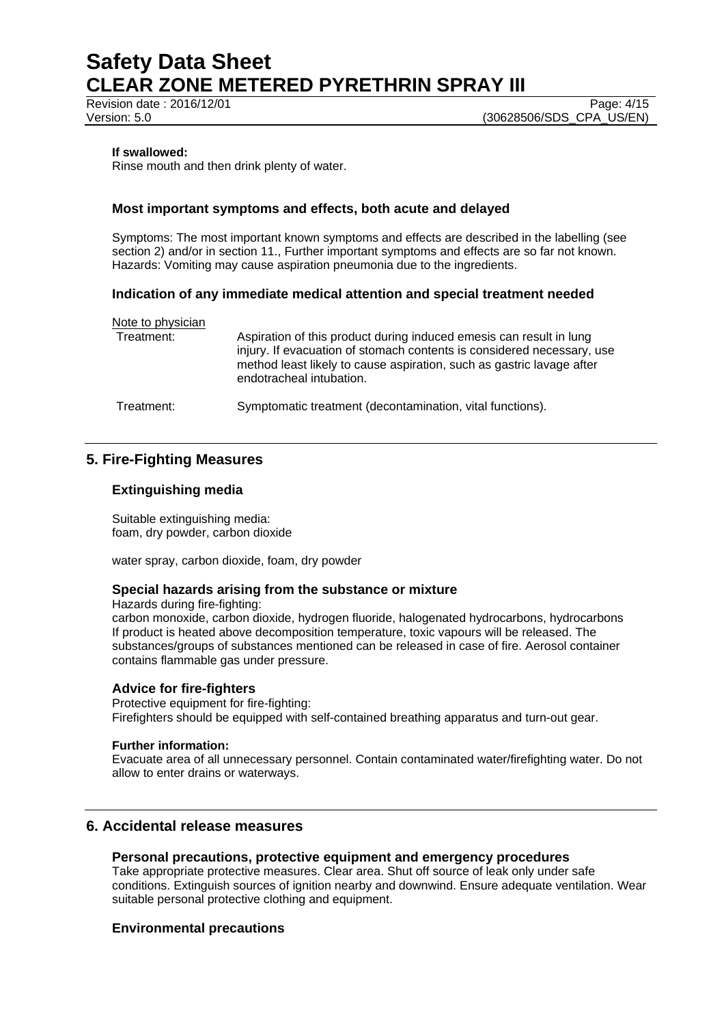Revision date : 2016/12/01

Version: 5.0 **(30628506/SDS\_CPA\_US/EN)** 

#### **If swallowed:**

Rinse mouth and then drink plenty of water.

# **Most important symptoms and effects, both acute and delayed**

Symptoms: The most important known symptoms and effects are described in the labelling (see section 2) and/or in section 11., Further important symptoms and effects are so far not known. Hazards: Vomiting may cause aspiration pneumonia due to the ingredients.

#### **Indication of any immediate medical attention and special treatment needed**

| Note to physician<br>Treatment: | Aspiration of this product during induced emesis can result in lung                                                                                                         |
|---------------------------------|-----------------------------------------------------------------------------------------------------------------------------------------------------------------------------|
|                                 | injury. If evacuation of stomach contents is considered necessary, use<br>method least likely to cause aspiration, such as gastric lavage after<br>endotracheal intubation. |
| Treatment:                      | Symptomatic treatment (decontamination, vital functions).                                                                                                                   |

# **5. Fire-Fighting Measures**

#### **Extinguishing media**

Suitable extinguishing media: foam, dry powder, carbon dioxide

water spray, carbon dioxide, foam, dry powder

#### **Special hazards arising from the substance or mixture**

Hazards during fire-fighting:

carbon monoxide, carbon dioxide, hydrogen fluoride, halogenated hydrocarbons, hydrocarbons If product is heated above decomposition temperature, toxic vapours will be released. The substances/groups of substances mentioned can be released in case of fire. Aerosol container contains flammable gas under pressure.

# **Advice for fire-fighters**

Protective equipment for fire-fighting: Firefighters should be equipped with self-contained breathing apparatus and turn-out gear.

#### **Further information:**

Evacuate area of all unnecessary personnel. Contain contaminated water/firefighting water. Do not allow to enter drains or waterways.

# **6. Accidental release measures**

#### **Personal precautions, protective equipment and emergency procedures**

Take appropriate protective measures. Clear area. Shut off source of leak only under safe conditions. Extinguish sources of ignition nearby and downwind. Ensure adequate ventilation. Wear suitable personal protective clothing and equipment.

# **Environmental precautions**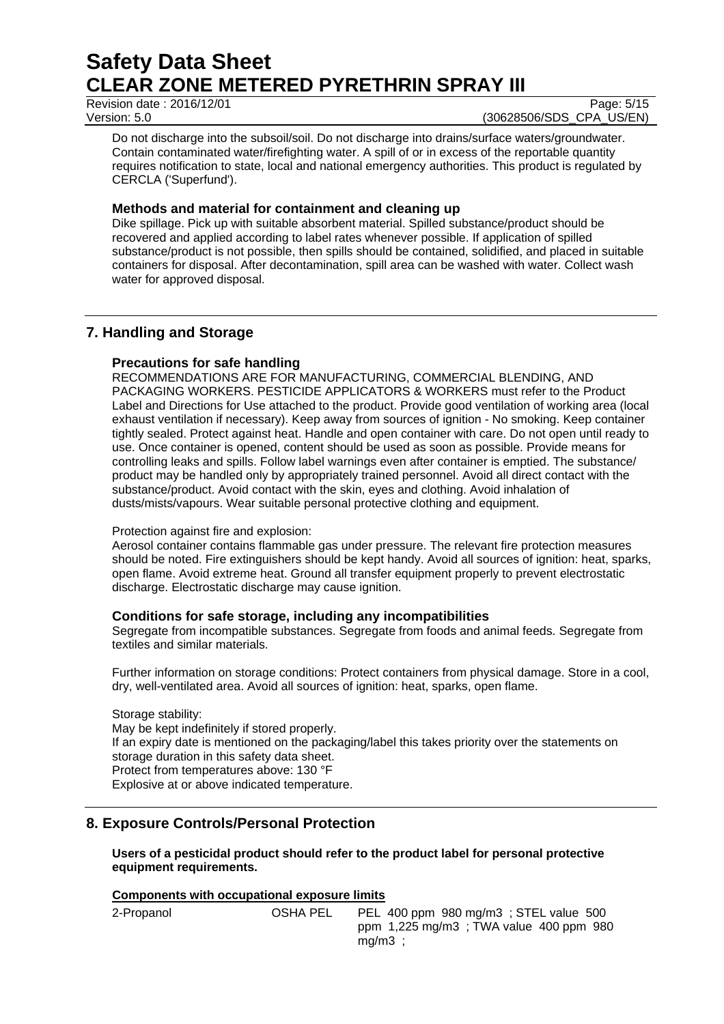Revision date : 2016/12/01

Version: 5.0 **(30628506/SDS\_CPA\_US/EN)** 

Do not discharge into the subsoil/soil. Do not discharge into drains/surface waters/groundwater. Contain contaminated water/firefighting water. A spill of or in excess of the reportable quantity requires notification to state, local and national emergency authorities. This product is regulated by CERCLA ('Superfund').

# **Methods and material for containment and cleaning up**

Dike spillage. Pick up with suitable absorbent material. Spilled substance/product should be recovered and applied according to label rates whenever possible. If application of spilled substance/product is not possible, then spills should be contained, solidified, and placed in suitable containers for disposal. After decontamination, spill area can be washed with water. Collect wash water for approved disposal.

# **7. Handling and Storage**

# **Precautions for safe handling**

RECOMMENDATIONS ARE FOR MANUFACTURING, COMMERCIAL BLENDING, AND PACKAGING WORKERS. PESTICIDE APPLICATORS & WORKERS must refer to the Product Label and Directions for Use attached to the product. Provide good ventilation of working area (local exhaust ventilation if necessary). Keep away from sources of ignition - No smoking. Keep container tightly sealed. Protect against heat. Handle and open container with care. Do not open until ready to use. Once container is opened, content should be used as soon as possible. Provide means for controlling leaks and spills. Follow label warnings even after container is emptied. The substance/ product may be handled only by appropriately trained personnel. Avoid all direct contact with the substance/product. Avoid contact with the skin, eyes and clothing. Avoid inhalation of dusts/mists/vapours. Wear suitable personal protective clothing and equipment.

# Protection against fire and explosion:

Aerosol container contains flammable gas under pressure. The relevant fire protection measures should be noted. Fire extinguishers should be kept handy. Avoid all sources of ignition: heat, sparks, open flame. Avoid extreme heat. Ground all transfer equipment properly to prevent electrostatic discharge. Electrostatic discharge may cause ignition.

# **Conditions for safe storage, including any incompatibilities**

Segregate from incompatible substances. Segregate from foods and animal feeds. Segregate from textiles and similar materials.

Further information on storage conditions: Protect containers from physical damage. Store in a cool, dry, well-ventilated area. Avoid all sources of ignition: heat, sparks, open flame.

#### Storage stability: May be kept indefinitely if stored properly. If an expiry date is mentioned on the packaging/label this takes priority over the statements on storage duration in this safety data sheet. Protect from temperatures above: 130 °F Explosive at or above indicated temperature.

# **8. Exposure Controls/Personal Protection**

# **Users of a pesticidal product should refer to the product label for personal protective equipment requirements.**

# **Components with occupational exposure limits**

| 2-Propanol | <b>OSHA PEL</b> | PEL 400 ppm 980 mg/m3; STEL value 500  |
|------------|-----------------|----------------------------------------|
|            |                 | ppm 1,225 mg/m3; TWA value 400 ppm 980 |
|            |                 | mq/m3                                  |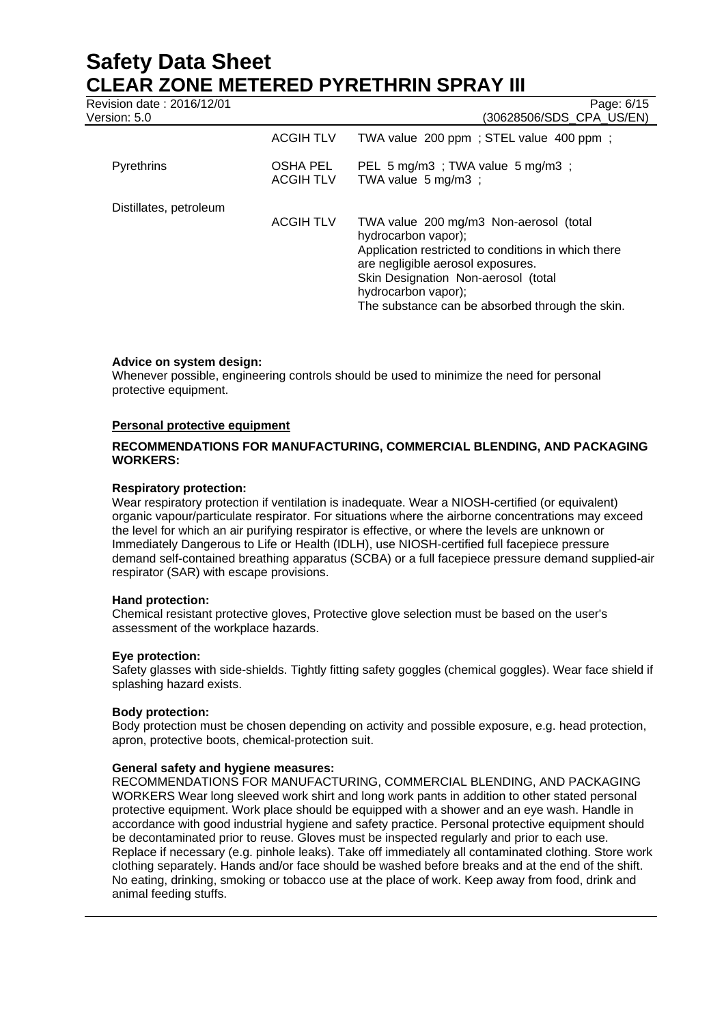Revision date : 2016/12/01 Page: 6/15

| Version: 5.0           |                              | (30628506/SDS_CPA_US/EN)                                                                                                                                                                                                |  |
|------------------------|------------------------------|-------------------------------------------------------------------------------------------------------------------------------------------------------------------------------------------------------------------------|--|
|                        | <b>ACGIH TLV</b>             | TWA value 200 ppm; STEL value 400 ppm;                                                                                                                                                                                  |  |
| <b>Pyrethrins</b>      | OSHA PEL<br><b>ACGIH TLV</b> | PEL 5 mg/m3; TWA value 5 mg/m3;<br>TWA value $5 \text{ mg/m3}$ ;                                                                                                                                                        |  |
| Distillates, petroleum | <b>ACGIH TLV</b>             | TWA value 200 mg/m3 Non-aerosol (total<br>hydrocarbon vapor);<br>Application restricted to conditions in which there<br>are negligible aerosol exposures.<br>Skin Designation Non-aerosol (total<br>hydrocarbon vapor); |  |
|                        |                              | The substance can be absorbed through the skin.                                                                                                                                                                         |  |

# **Advice on system design:**

Whenever possible, engineering controls should be used to minimize the need for personal protective equipment.

#### **Personal protective equipment**

### **RECOMMENDATIONS FOR MANUFACTURING, COMMERCIAL BLENDING, AND PACKAGING WORKERS:**

#### **Respiratory protection:**

Wear respiratory protection if ventilation is inadequate. Wear a NIOSH-certified (or equivalent) organic vapour/particulate respirator. For situations where the airborne concentrations may exceed the level for which an air purifying respirator is effective, or where the levels are unknown or Immediately Dangerous to Life or Health (IDLH), use NIOSH-certified full facepiece pressure demand self-contained breathing apparatus (SCBA) or a full facepiece pressure demand supplied-air respirator (SAR) with escape provisions.

#### **Hand protection:**

Chemical resistant protective gloves, Protective glove selection must be based on the user's assessment of the workplace hazards.

#### **Eye protection:**

Safety glasses with side-shields. Tightly fitting safety goggles (chemical goggles). Wear face shield if splashing hazard exists.

#### **Body protection:**

Body protection must be chosen depending on activity and possible exposure, e.g. head protection, apron, protective boots, chemical-protection suit.

#### **General safety and hygiene measures:**

RECOMMENDATIONS FOR MANUFACTURING, COMMERCIAL BLENDING, AND PACKAGING WORKERS Wear long sleeved work shirt and long work pants in addition to other stated personal protective equipment. Work place should be equipped with a shower and an eye wash. Handle in accordance with good industrial hygiene and safety practice. Personal protective equipment should be decontaminated prior to reuse. Gloves must be inspected regularly and prior to each use. Replace if necessary (e.g. pinhole leaks). Take off immediately all contaminated clothing. Store work clothing separately. Hands and/or face should be washed before breaks and at the end of the shift. No eating, drinking, smoking or tobacco use at the place of work. Keep away from food, drink and animal feeding stuffs.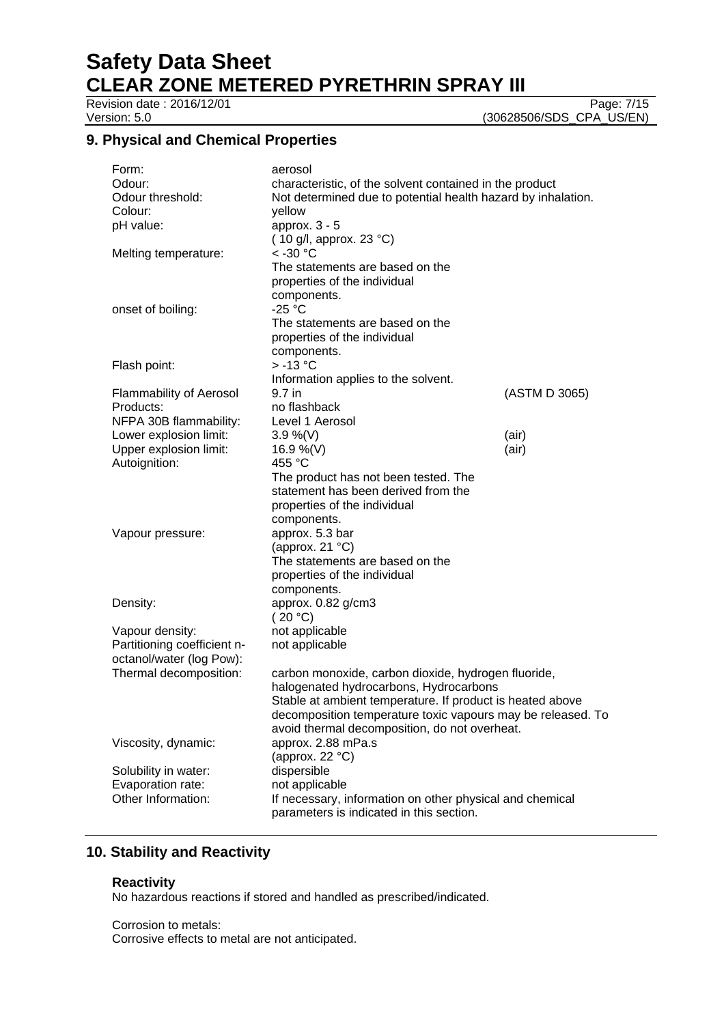# **Safety Data Sheet**

**CLEAR ZONE METERED PYRETHRIN SPRAY III**

Revision date : 2016/12/01

Version: 5.0 (30628506/SDS\_CPA\_US/EN)

# **9. Physical and Chemical Properties**

| Form:                                          | aerosol                                                      |               |  |
|------------------------------------------------|--------------------------------------------------------------|---------------|--|
| Odour:                                         | characteristic, of the solvent contained in the product      |               |  |
| Odour threshold:                               | Not determined due to potential health hazard by inhalation. |               |  |
| Colour:                                        | yellow                                                       |               |  |
| pH value:                                      | approx. 3 - 5                                                |               |  |
|                                                | (10 g/l, approx. 23 $^{\circ}$ C)                            |               |  |
| Melting temperature:                           | $<$ -30 $^{\circ}$ C                                         |               |  |
|                                                | The statements are based on the                              |               |  |
|                                                | properties of the individual                                 |               |  |
|                                                | components.                                                  |               |  |
| onset of boiling:                              | $-25 °C$                                                     |               |  |
|                                                | The statements are based on the                              |               |  |
|                                                | properties of the individual                                 |               |  |
|                                                | components.                                                  |               |  |
| Flash point:                                   | $> -13$ °C                                                   |               |  |
|                                                | Information applies to the solvent.                          |               |  |
| <b>Flammability of Aerosol</b>                 | 9.7 in                                                       | (ASTM D 3065) |  |
| Products:                                      | no flashback                                                 |               |  |
| NFPA 30B flammability:                         | Level 1 Aerosol                                              |               |  |
| Lower explosion limit:                         | $3.9\%$ (V)                                                  | (air)         |  |
| Upper explosion limit:                         | 16.9 %(V)                                                    | (air)         |  |
| Autoignition:                                  | 455 °C                                                       |               |  |
|                                                | The product has not been tested. The                         |               |  |
|                                                | statement has been derived from the                          |               |  |
|                                                | properties of the individual                                 |               |  |
|                                                | components.                                                  |               |  |
| Vapour pressure:                               | approx. 5.3 bar                                              |               |  |
|                                                | (approx. 21 $^{\circ}$ C)                                    |               |  |
|                                                | The statements are based on the                              |               |  |
|                                                | properties of the individual                                 |               |  |
|                                                | components.                                                  |               |  |
| Density:                                       | approx. 0.82 g/cm3                                           |               |  |
|                                                | (20 °C)                                                      |               |  |
| Vapour density:<br>Partitioning coefficient n- | not applicable                                               |               |  |
| octanol/water (log Pow):                       | not applicable                                               |               |  |
| Thermal decomposition:                         | carbon monoxide, carbon dioxide, hydrogen fluoride,          |               |  |
|                                                | halogenated hydrocarbons, Hydrocarbons                       |               |  |
|                                                | Stable at ambient temperature. If product is heated above    |               |  |
|                                                | decomposition temperature toxic vapours may be released. To  |               |  |
|                                                | avoid thermal decomposition, do not overheat.                |               |  |
| Viscosity, dynamic:                            | approx. 2.88 mPa.s                                           |               |  |
|                                                | (approx. 22 $\degree$ C)                                     |               |  |
| Solubility in water:                           | dispersible                                                  |               |  |
| Evaporation rate:                              | not applicable                                               |               |  |
| Other Information:                             | If necessary, information on other physical and chemical     |               |  |
|                                                | parameters is indicated in this section.                     |               |  |
|                                                |                                                              |               |  |

# **10. Stability and Reactivity**

#### **Reactivity**

No hazardous reactions if stored and handled as prescribed/indicated.

Corrosion to metals: Corrosive effects to metal are not anticipated.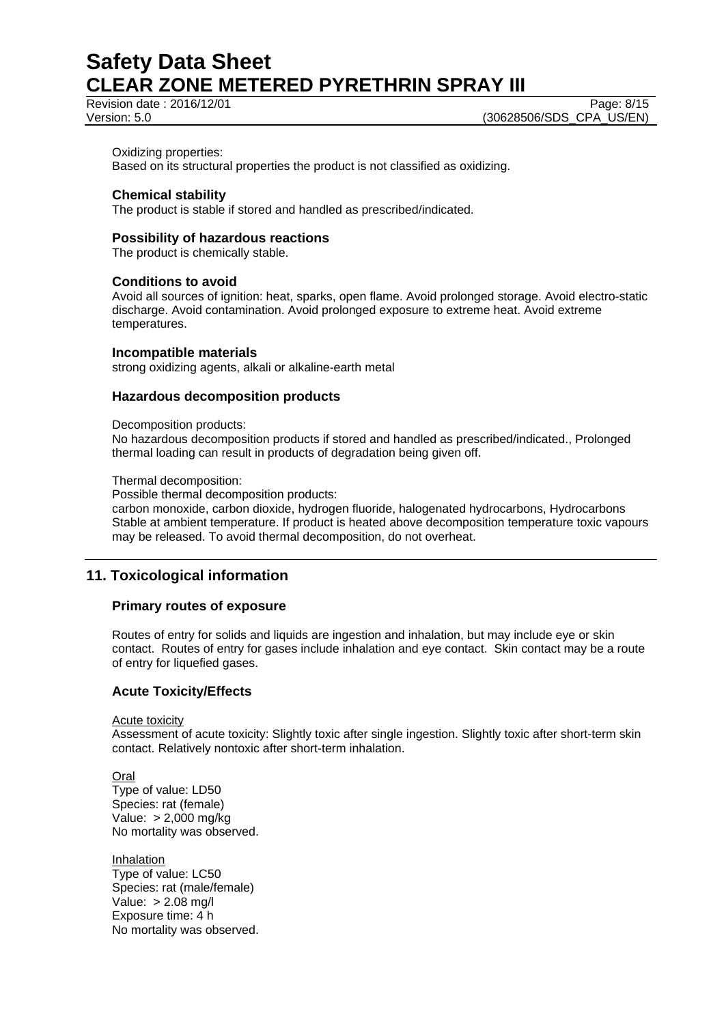Revision date : 2016/12/01 Page: 8/15

Version: 5.0 **(30628506/SDS\_CPA\_US/EN)** 

#### Oxidizing properties:

Based on its structural properties the product is not classified as oxidizing.

#### **Chemical stability**

The product is stable if stored and handled as prescribed/indicated.

#### **Possibility of hazardous reactions**

The product is chemically stable.

#### **Conditions to avoid**

Avoid all sources of ignition: heat, sparks, open flame. Avoid prolonged storage. Avoid electro-static discharge. Avoid contamination. Avoid prolonged exposure to extreme heat. Avoid extreme temperatures.

#### **Incompatible materials**

strong oxidizing agents, alkali or alkaline-earth metal

#### **Hazardous decomposition products**

#### Decomposition products:

No hazardous decomposition products if stored and handled as prescribed/indicated., Prolonged thermal loading can result in products of degradation being given off.

#### Thermal decomposition:

Possible thermal decomposition products:

carbon monoxide, carbon dioxide, hydrogen fluoride, halogenated hydrocarbons, Hydrocarbons Stable at ambient temperature. If product is heated above decomposition temperature toxic vapours may be released. To avoid thermal decomposition, do not overheat.

# **11. Toxicological information**

#### **Primary routes of exposure**

Routes of entry for solids and liquids are ingestion and inhalation, but may include eye or skin contact. Routes of entry for gases include inhalation and eye contact. Skin contact may be a route of entry for liquefied gases.

# **Acute Toxicity/Effects**

Acute toxicity

Assessment of acute toxicity: Slightly toxic after single ingestion. Slightly toxic after short-term skin contact. Relatively nontoxic after short-term inhalation.

**Oral** Type of value: LD50 Species: rat (female) Value: > 2,000 mg/kg No mortality was observed.

Inhalation Type of value: LC50 Species: rat (male/female) Value: > 2.08 mg/l Exposure time: 4 h No mortality was observed.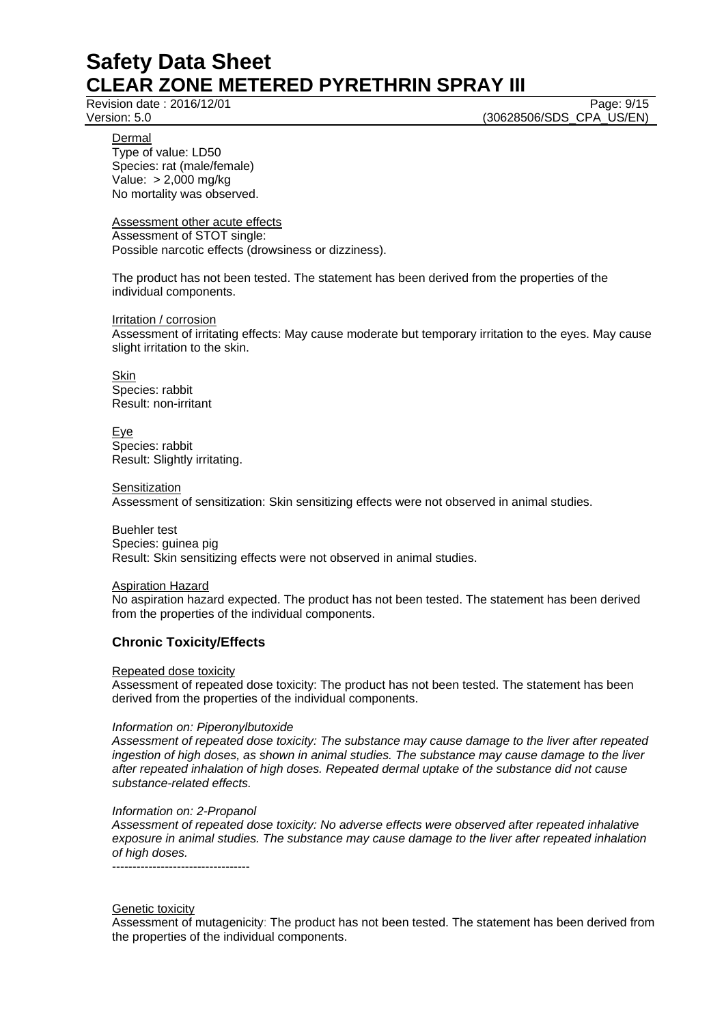Revision date : 2016/12/01 Page: 9/15

Version: 5.0 **(30628506/SDS\_CPA\_US/EN)** 

Dermal

Type of value: LD50 Species: rat (male/female) Value: > 2,000 mg/kg No mortality was observed.

Assessment other acute effects Assessment of STOT single: Possible narcotic effects (drowsiness or dizziness).

The product has not been tested. The statement has been derived from the properties of the individual components.

Irritation / corrosion Assessment of irritating effects: May cause moderate but temporary irritation to the eyes. May cause slight irritation to the skin.

**Skin** Species: rabbit Result: non-irritant

Eye Species: rabbit Result: Slightly irritating.

**Sensitization** 

Assessment of sensitization: Skin sensitizing effects were not observed in animal studies.

Buehler test Species: guinea pig Result: Skin sensitizing effects were not observed in animal studies.

Aspiration Hazard No aspiration hazard expected. The product has not been tested. The statement has been derived

from the properties of the individual components.

# **Chronic Toxicity/Effects**

Repeated dose toxicity

Assessment of repeated dose toxicity: The product has not been tested. The statement has been derived from the properties of the individual components.

# *Information on: Piperonylbutoxide*

*Assessment of repeated dose toxicity: The substance may cause damage to the liver after repeated ingestion of high doses, as shown in animal studies. The substance may cause damage to the liver after repeated inhalation of high doses. Repeated dermal uptake of the substance did not cause substance-related effects.* 

# *Information on: 2-Propanol*

*Assessment of repeated dose toxicity: No adverse effects were observed after repeated inhalative exposure in animal studies. The substance may cause damage to the liver after repeated inhalation of high doses.* 

----------------------------------

# Genetic toxicity

Assessment of mutagenicity: The product has not been tested. The statement has been derived from the properties of the individual components.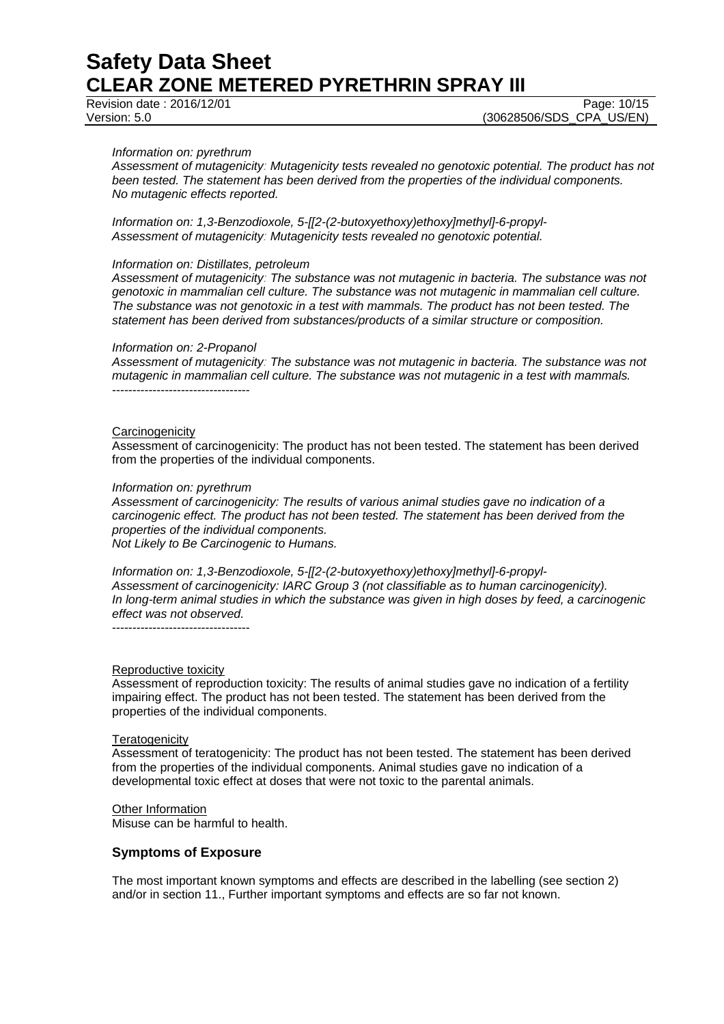Revision date : 2016/12/01 Page: 10/15

#### *Information on: pyrethrum*

*Assessment of mutagenicity: Mutagenicity tests revealed no genotoxic potential. The product has not been tested. The statement has been derived from the properties of the individual components. No mutagenic effects reported.* 

*Information on: 1,3-Benzodioxole, 5-[[2-(2-butoxyethoxy)ethoxy]methyl]-6-propyl-Assessment of mutagenicity: Mutagenicity tests revealed no genotoxic potential.* 

#### *Information on: Distillates, petroleum*

*Assessment of mutagenicity: The substance was not mutagenic in bacteria. The substance was not genotoxic in mammalian cell culture. The substance was not mutagenic in mammalian cell culture. The substance was not genotoxic in a test with mammals. The product has not been tested. The statement has been derived from substances/products of a similar structure or composition.* 

#### *Information on: 2-Propanol*

*Assessment of mutagenicity: The substance was not mutagenic in bacteria. The substance was not mutagenic in mammalian cell culture. The substance was not mutagenic in a test with mammals.*  ----------------------------------

#### **Carcinogenicity**

Assessment of carcinogenicity: The product has not been tested. The statement has been derived from the properties of the individual components.

#### *Information on: pyrethrum*

*Assessment of carcinogenicity: The results of various animal studies gave no indication of a carcinogenic effect. The product has not been tested. The statement has been derived from the properties of the individual components. Not Likely to Be Carcinogenic to Humans.* 

*Information on: 1,3-Benzodioxole, 5-[[2-(2-butoxyethoxy)ethoxy]methyl]-6-propyl-Assessment of carcinogenicity: IARC Group 3 (not classifiable as to human carcinogenicity). In long-term animal studies in which the substance was given in high doses by feed, a carcinogenic effect was not observed.*  ----------------------------------

#### Reproductive toxicity

Assessment of reproduction toxicity: The results of animal studies gave no indication of a fertility impairing effect. The product has not been tested. The statement has been derived from the properties of the individual components.

#### **Teratogenicity**

Assessment of teratogenicity: The product has not been tested. The statement has been derived from the properties of the individual components. Animal studies gave no indication of a developmental toxic effect at doses that were not toxic to the parental animals.

#### Other Information

Misuse can be harmful to health.

#### **Symptoms of Exposure**

The most important known symptoms and effects are described in the labelling (see section 2) and/or in section 11., Further important symptoms and effects are so far not known.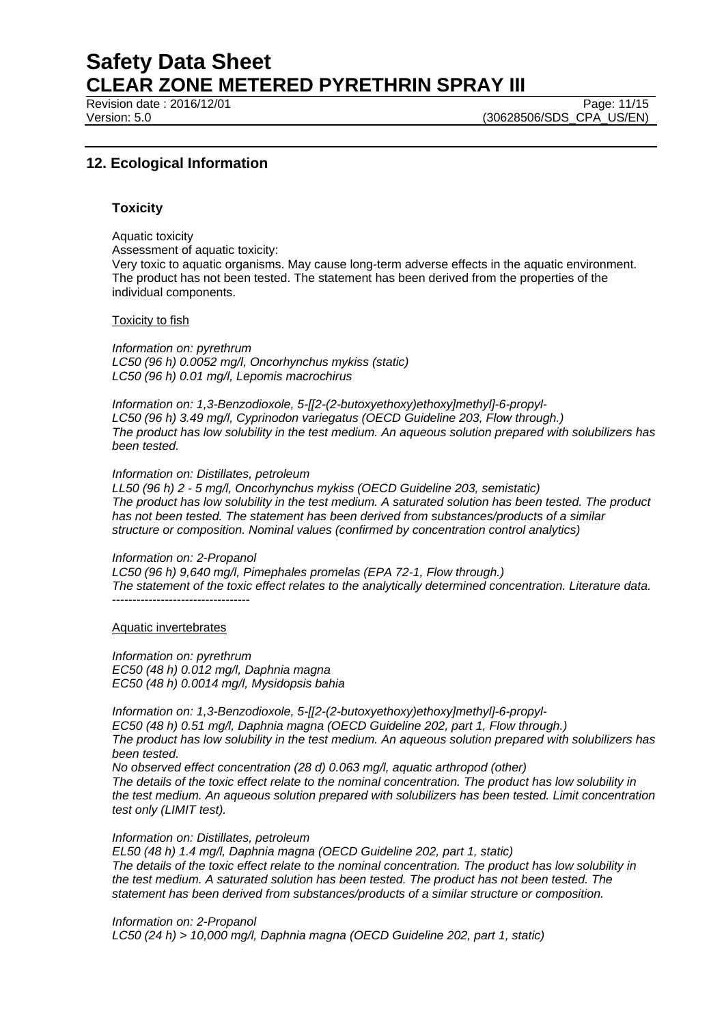Revision date : 2016/12/01 Page: 11/15

Version: 5.0 **(30628506/SDS\_CPA\_US/EN)** 

# **12. Ecological Information**

#### **Toxicity**

Aquatic toxicity Assessment of aquatic toxicity: Very toxic to aquatic organisms. May cause long-term adverse effects in the aquatic environment. The product has not been tested. The statement has been derived from the properties of the individual components.

#### Toxicity to fish

*Information on: pyrethrum LC50 (96 h) 0.0052 mg/l, Oncorhynchus mykiss (static) LC50 (96 h) 0.01 mg/l, Lepomis macrochirus* 

*Information on: 1,3-Benzodioxole, 5-[[2-(2-butoxyethoxy)ethoxy]methyl]-6-propyl-LC50 (96 h) 3.49 mg/l, Cyprinodon variegatus (OECD Guideline 203, Flow through.) The product has low solubility in the test medium. An aqueous solution prepared with solubilizers has been tested.* 

#### *Information on: Distillates, petroleum*

*LL50 (96 h) 2 - 5 mg/l, Oncorhynchus mykiss (OECD Guideline 203, semistatic) The product has low solubility in the test medium. A saturated solution has been tested. The product has not been tested. The statement has been derived from substances/products of a similar structure or composition. Nominal values (confirmed by concentration control analytics)* 

#### *Information on: 2-Propanol*

*LC50 (96 h) 9,640 mg/l, Pimephales promelas (EPA 72-1, Flow through.) The statement of the toxic effect relates to the analytically determined concentration. Literature data.*  ----------------------------------

#### Aquatic invertebrates

*Information on: pyrethrum EC50 (48 h) 0.012 mg/l, Daphnia magna EC50 (48 h) 0.0014 mg/l, Mysidopsis bahia* 

*Information on: 1,3-Benzodioxole, 5-[[2-(2-butoxyethoxy)ethoxy]methyl]-6-propyl-EC50 (48 h) 0.51 mg/l, Daphnia magna (OECD Guideline 202, part 1, Flow through.) The product has low solubility in the test medium. An aqueous solution prepared with solubilizers has been tested.* 

*No observed effect concentration (28 d) 0.063 mg/l, aquatic arthropod (other) The details of the toxic effect relate to the nominal concentration. The product has low solubility in the test medium. An aqueous solution prepared with solubilizers has been tested. Limit concentration test only (LIMIT test).* 

#### *Information on: Distillates, petroleum*

*EL50 (48 h) 1.4 mg/l, Daphnia magna (OECD Guideline 202, part 1, static) The details of the toxic effect relate to the nominal concentration. The product has low solubility in the test medium. A saturated solution has been tested. The product has not been tested. The statement has been derived from substances/products of a similar structure or composition.* 

*Information on: 2-Propanol LC50 (24 h) > 10,000 mg/l, Daphnia magna (OECD Guideline 202, part 1, static)*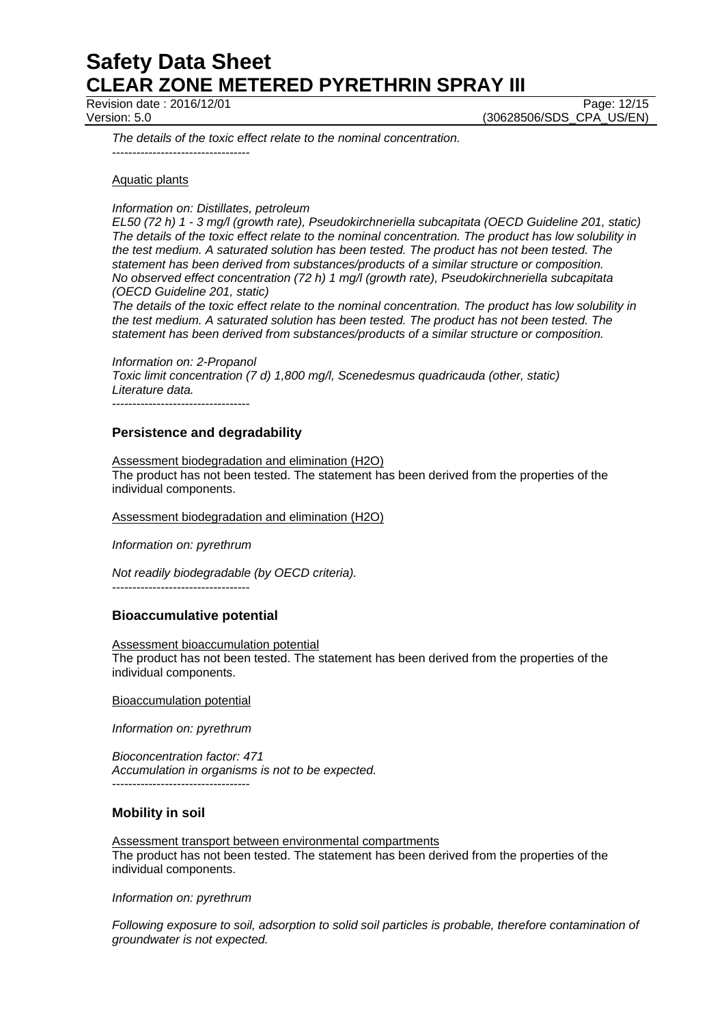Revision date : 2016/12/01 Page: 12/15

Version: 5.0 **(30628506/SDS\_CPA\_US/EN)** 

*The details of the toxic effect relate to the nominal concentration.*  ----------------------------------

#### Aquatic plants

*Information on: Distillates, petroleum* 

*EL50 (72 h) 1 - 3 mg/l (growth rate), Pseudokirchneriella subcapitata (OECD Guideline 201, static) The details of the toxic effect relate to the nominal concentration. The product has low solubility in the test medium. A saturated solution has been tested. The product has not been tested. The statement has been derived from substances/products of a similar structure or composition. No observed effect concentration (72 h) 1 mg/l (growth rate), Pseudokirchneriella subcapitata (OECD Guideline 201, static)* 

*The details of the toxic effect relate to the nominal concentration. The product has low solubility in the test medium. A saturated solution has been tested. The product has not been tested. The statement has been derived from substances/products of a similar structure or composition.* 

*Information on: 2-Propanol Toxic limit concentration (7 d) 1,800 mg/l, Scenedesmus quadricauda (other, static) Literature data.*  ----------------------------------

**Persistence and degradability** 

### Assessment biodegradation and elimination (H2O) The product has not been tested. The statement has been derived from the properties of the individual components.

Assessment biodegradation and elimination (H2O)

*Information on: pyrethrum* 

*Not readily biodegradable (by OECD criteria).* 

----------------------------------

# **Bioaccumulative potential**

Assessment bioaccumulation potential The product has not been tested. The statement has been derived from the properties of the individual components.

Bioaccumulation potential

*Information on: pyrethrum* 

*Bioconcentration factor: 471 Accumulation in organisms is not to be expected.*  ----------------------------------

# **Mobility in soil**

Assessment transport between environmental compartments The product has not been tested. The statement has been derived from the properties of the individual components.

*Information on: pyrethrum* 

*Following exposure to soil, adsorption to solid soil particles is probable, therefore contamination of groundwater is not expected.*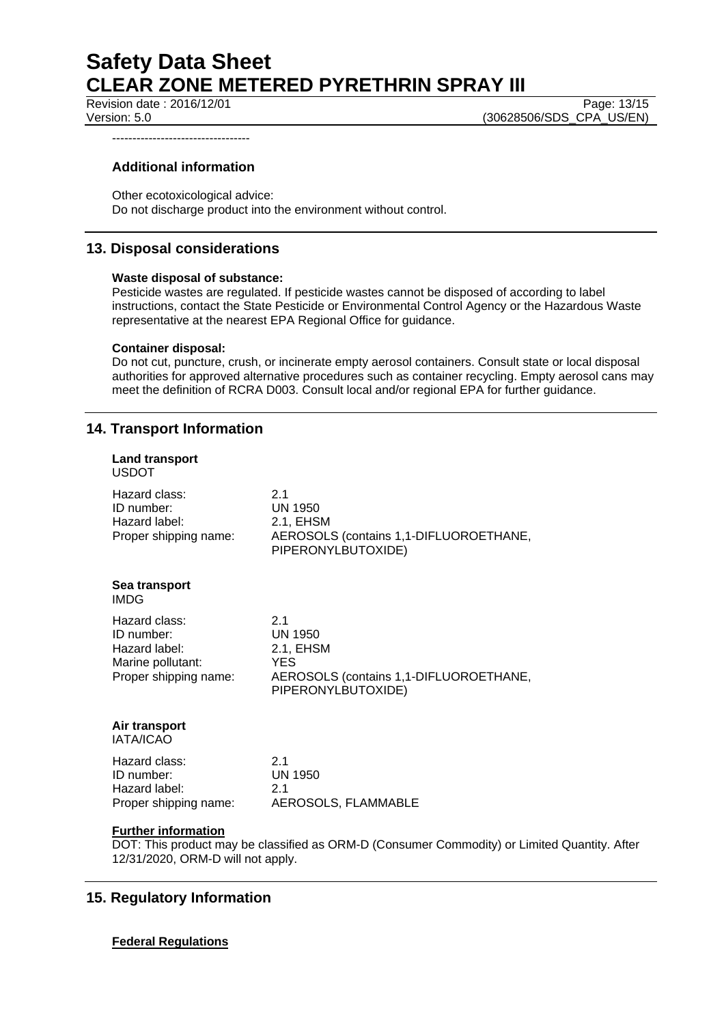Revision date : 2016/12/01 Page: 13/15

Version: 5.0 (30628506/SDS\_CPA\_US/EN)

----------------------------------

# **Additional information**

Other ecotoxicological advice: Do not discharge product into the environment without control.

# **13. Disposal considerations**

#### **Waste disposal of substance:**

Pesticide wastes are regulated. If pesticide wastes cannot be disposed of according to label instructions, contact the State Pesticide or Environmental Control Agency or the Hazardous Waste representative at the nearest EPA Regional Office for guidance.

#### **Container disposal:**

Do not cut, puncture, crush, or incinerate empty aerosol containers. Consult state or local disposal authorities for approved alternative procedures such as container recycling. Empty aerosol cans may meet the definition of RCRA D003. Consult local and/or regional EPA for further guidance.

# **14. Transport Information**

| <b>Land transport</b><br><b>USDOT</b>                                                      |                                                                                                           |
|--------------------------------------------------------------------------------------------|-----------------------------------------------------------------------------------------------------------|
| Hazard class:<br>ID number:<br>Hazard label:<br>Proper shipping name:                      | 2.1<br><b>UN 1950</b><br>2.1, EHSM<br>AEROSOLS (contains 1,1-DIFLUOROETHANE,<br>PIPERONYLBUTOXIDE)        |
| Sea transport<br><b>IMDG</b>                                                               |                                                                                                           |
| Hazard class:<br>ID number:<br>Hazard label:<br>Marine pollutant:<br>Proper shipping name: | 2.1<br>UN 1950<br>2.1, EHSM<br><b>YES</b><br>AEROSOLS (contains 1,1-DIFLUOROETHANE,<br>PIPERONYLBUTOXIDE) |
| Air transport<br><b>IATA/ICAO</b>                                                          |                                                                                                           |
| Hazard class:<br>ID number:<br>Hazard label:<br>Proper shipping name:                      | 2.1<br><b>UN 1950</b><br>2.1<br>AEROSOLS, FLAMMABLE                                                       |
| <b>Further information</b><br>12/31/2020, ORM-D will not apply.                            | DOT: This product may be classified as ORM-D (Consumer Commodity) or Limited Quantity. After              |

# **15. Regulatory Information**

# **Federal Regulations**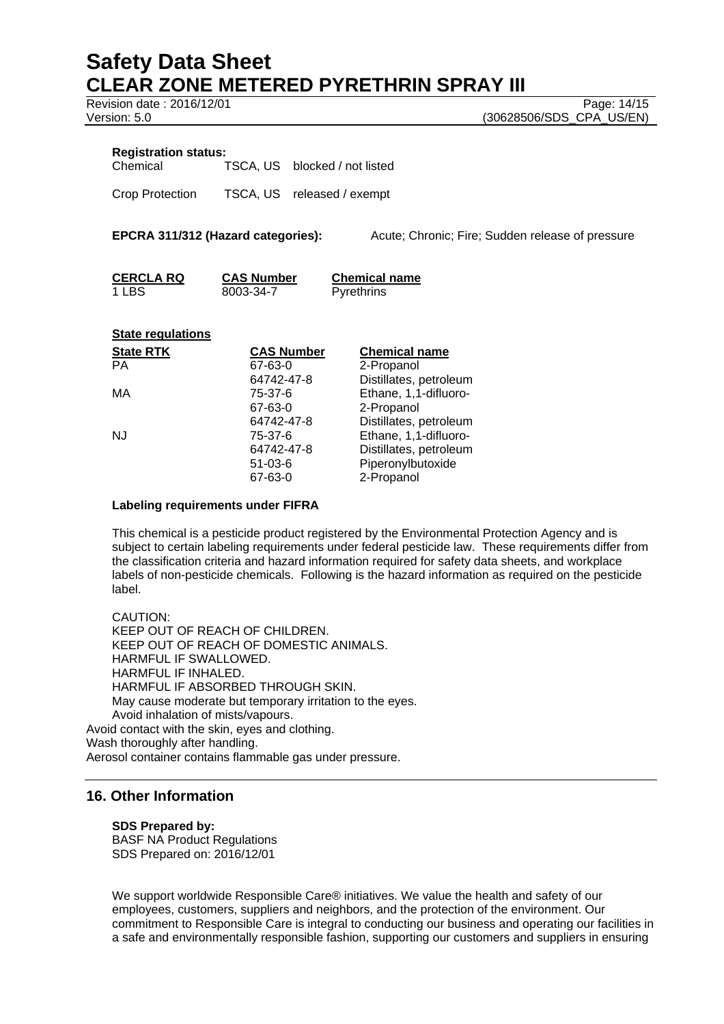Revision date : 2016/12/01 Page: 14/15

Version: 5.0 **(30628506/SDS\_CPA\_US/EN)** 

#### **Registration status:**

Chemical TSCA, US blocked / not listed

Crop Protection TSCA, US released / exempt

**EPCRA 311/312 (Hazard categories):** Acute; Chronic; Fire; Sudden release of pressure

| <b>CERCLA RQ</b> | <b>CAS Number</b> | <b>Chemical name</b> |
|------------------|-------------------|----------------------|
| 1 LBS            | 8003-34-7         | <b>Pyrethrins</b>    |

#### **State regulations**

| <b>CAS Number</b> | <b>Chemical name</b>   |
|-------------------|------------------------|
| 67-63-0           | 2-Propanol             |
| 64742-47-8        | Distillates, petroleum |
| 75-37-6           | Ethane, 1,1-difluoro-  |
| 67-63-0           | 2-Propanol             |
| 64742-47-8        | Distillates, petroleum |
| 75-37-6           | Ethane, 1,1-difluoro-  |
| 64742-47-8        | Distillates, petroleum |
| $51 - 03 - 6$     | Piperonylbutoxide      |
| 67-63-0           | 2-Propanol             |
|                   |                        |

#### **Labeling requirements under FIFRA**

This chemical is a pesticide product registered by the Environmental Protection Agency and is subject to certain labeling requirements under federal pesticide law. These requirements differ from the classification criteria and hazard information required for safety data sheets, and workplace labels of non-pesticide chemicals. Following is the hazard information as required on the pesticide label.

CAUTION: KEEP OUT OF REACH OF CHILDREN. KEEP OUT OF REACH OF DOMESTIC ANIMALS. HARMFUL IF SWALLOWED. HARMFUL IF INHALED. HARMFUL IF ABSORBED THROUGH SKIN. May cause moderate but temporary irritation to the eyes. Avoid inhalation of mists/vapours. Avoid contact with the skin, eyes and clothing. Wash thoroughly after handling. Aerosol container contains flammable gas under pressure.

# **16. Other Information**

**SDS Prepared by:** 

BASF NA Product Regulations SDS Prepared on: 2016/12/01

We support worldwide Responsible Care® initiatives. We value the health and safety of our employees, customers, suppliers and neighbors, and the protection of the environment. Our commitment to Responsible Care is integral to conducting our business and operating our facilities in a safe and environmentally responsible fashion, supporting our customers and suppliers in ensuring